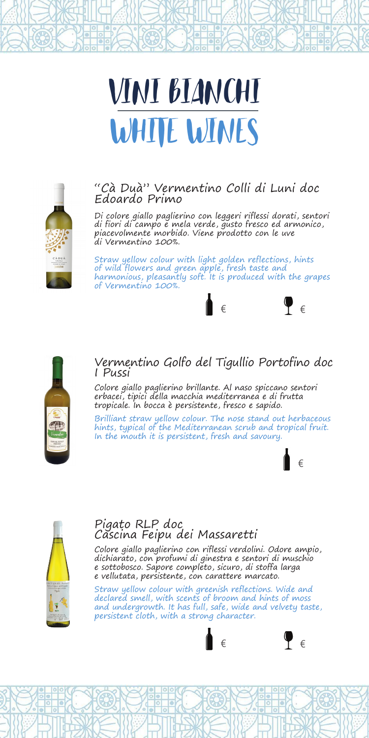# VINI BIANCHI WHITE WINES



#### "Cà Duà" Vermentino Colli di Luni doc Edoardo Primo

Di colore giallo paglierino con leggeri riflessi dorati, sentori di fiori di campo e mela verde, gusto fresco ed armonico, piacevolmente morbido. Viene prodotto con le uve di Vermentino 100%.

Straw yellow colour with light golden reflections, hints of wild flowers and green apple, fresh taste and harmonious, pleasantly soft. It is produced with the grapes of Vermentino 100%.





### Vermentino Golfo del Tigullio Portofino doc I Pussi

Colore giallo paglierino brillante. Al naso spiccano sentori erbacei, tipici della macchia mediterranea e di frutta tropicale. In bocca è persistente, fresco e sapido.

Brilliant straw yellow colour. The nose stand out herbaceous hints, typical of the Mediterranean scrub and tropical fruit. In the mouth it is persistent, fresh and savoury.





# Pigato RLP doc Cascina Feipu dei Massaretti

Colore giallo paglierino con riflessi verdolini. Odore ampio, dichiarato, con profumi di ginestra e sentori di muschio e sottobosco. Sapore completo, sicuro, di stoffa larga e vellutata, persistente, con carattere marcato.

Straw yellow colour with greenish reflections. Wide and declared smell, with scents of broom and hints of moss and undergrowth. It has full, safe, wide and velvety taste, persistent cloth, with a strong character.

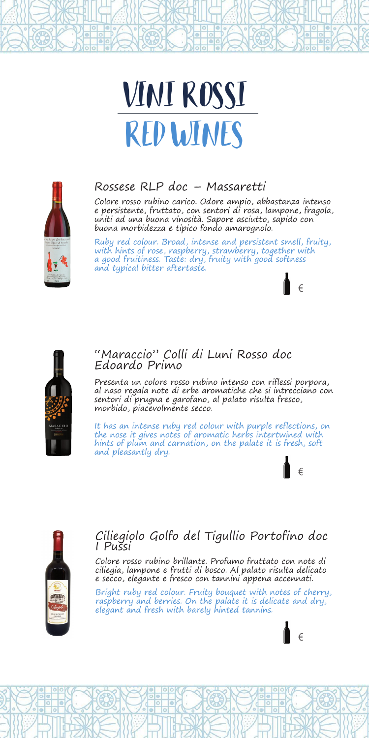# VINI ROSSI RED WINES



# Rossese RLP doc – Massaretti

Colore rosso rubino carico. Odore ampio, abbastanza intenso e persistente, fruttato, con sentori di rosa, lampone, fragola, uniti ad una buona vinosità. Sapore asciutto, sapido con buona morbidezza e tipico fondo amarognolo.

Ruby red colour. Broad, intense and persistent smell, fruity, with hints of rose, raspberry, strawberry, together with a good fruitiness. Taste: dry, fruity with good softness and typical bitter aftertaste.

€

€

€



#### "Maraccio" Colli di Luni Rosso doc Edoardo Primo

Presenta un colore rosso rubino intenso con riflessi porpora, al naso regala note di erbe aromatiche che si intrecciano con sentori di prugna e garofano, al palato risulta fresco, morbido, piacevolmente secco.

It has an intense ruby red colour with purple reflections, on the nose it gives notes of aromatic herbs intertwined with hints of plum and carnation, on the palate it is fresh, soft and pleasantly dry.



### Ciliegiolo Golfo del Tigullio Portofino doc I Pussi

Colore rosso rubino brillante. Profumo fruttato con note di ciliegia, lampone e frutti di bosco. Al palato risulta delicato e secco, elegante e fresco con tannini appena accennati.

Bright ruby red colour. Fruity bouquet with notes of cherry, raspberry and berries. On the palate it is delicate and dry, elegant and fresh with barely hinted tannins.